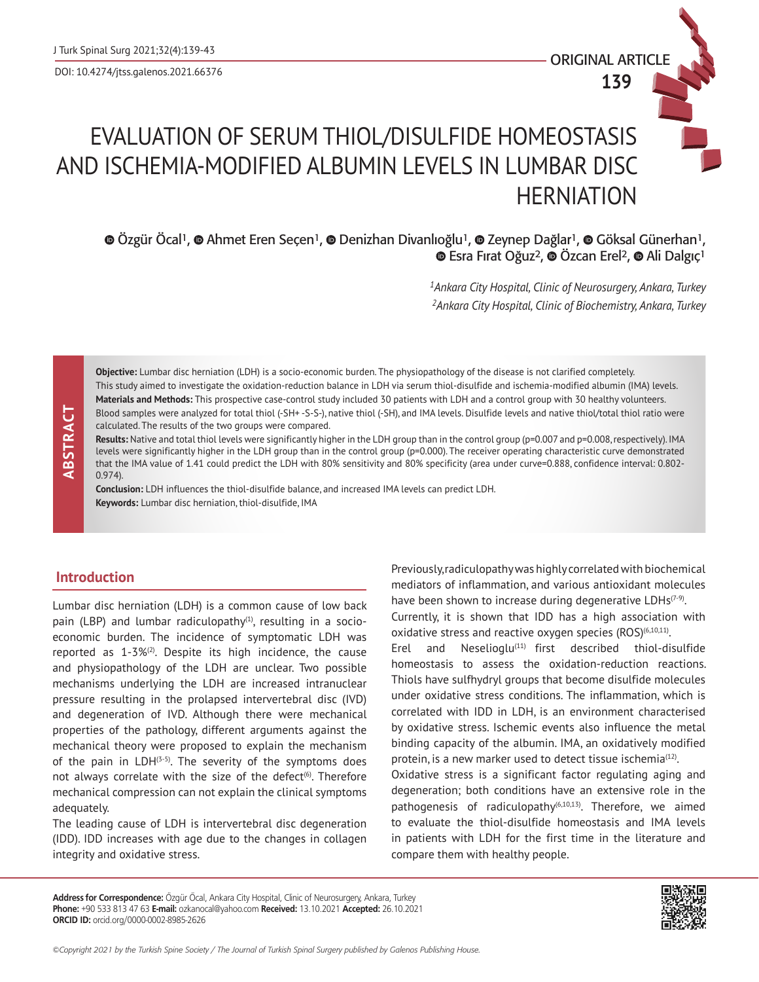ORIGINAL ARTICLE **139**

# EVALUATION OF SERUM THIOL/DISULFIDE HOMEOSTASIS AND ISCHEMIA-MODIFIED ALBUMIN LEVELS IN LUMBAR DISC **HERNIATION**

 $\odot$ Özgür Öcal<sup>1</sup>,  $\odot$  Ahmet Eren Seçen<sup>1</sup>,  $\odot$  Denizhan Divanlıoğlu<sup>1</sup>,  $\odot$  Zeynep Dağlar<sup>1</sup>,  $\odot$  Göksal Günerhan<sup>1</sup>,  $\bullet$ Esra Firat Oğuz<sup>2</sup>,  $\bullet$  Özcan Erel<sup>2</sup>,  $\bullet$  Ali Dalgiç<sup>1</sup>

> *1Ankara City Hospital, Clinic of Neurosurgery, Ankara, Turkey 2Ankara City Hospital, Clinic of Biochemistry, Ankara, Turkey*

 **ABSTRACT** ABSTRACT **Objective:** Lumbar disc herniation (LDH) is a socio-economic burden. The physiopathology of the disease is not clarified completely. This study aimed to investigate the oxidation-reduction balance in LDH via serum thiol-disulfide and ischemia-modified albumin (IMA) levels. **Materials and Methods:** This prospective case-control study included 30 patients with LDH and a control group with 30 healthy volunteers. Blood samples were analyzed for total thiol (-SH+ -S-S-), native thiol (-SH), and IMA levels. Disulfide levels and native thiol/total thiol ratio were calculated. The results of the two groups were compared.

**Results:** Native and total thiol levels were significantly higher in the LDH group than in the control group (p=0.007 and p=0.008, respectively). IMA levels were significantly higher in the LDH group than in the control group (p=0.000). The receiver operating characteristic curve demonstrated that the IMA value of 1.41 could predict the LDH with 80% sensitivity and 80% specificity (area under curve=0.888, confidence interval: 0.802- 0.974).

**Conclusion:** LDH influences the thiol-disulfide balance, and increased IMA levels can predict LDH. **Keywords:** Lumbar disc herniation, thiol-disulfide, IMA

# **Introduction**

Lumbar disc herniation (LDH) is a common cause of low back pain (LBP) and lumbar radiculopathy<sup>(1)</sup>, resulting in a socioeconomic burden. The incidence of symptomatic LDH was reported as  $1-3\%$ <sup>(2)</sup>. Despite its high incidence, the cause and physiopathology of the LDH are unclear. Two possible mechanisms underlying the LDH are increased intranuclear pressure resulting in the prolapsed intervertebral disc (IVD) and degeneration of IVD. Although there were mechanical properties of the pathology, different arguments against the mechanical theory were proposed to explain the mechanism of the pain in  $LDH^{(3-5)}$ . The severity of the symptoms does not always correlate with the size of the defect<sup>(6)</sup>. Therefore mechanical compression can not explain the clinical symptoms adequately.

The leading cause of LDH is intervertebral disc degeneration (IDD). IDD increases with age due to the changes in collagen integrity and oxidative stress.

Previously, radiculopathy was highly correlated with biochemical mediators of inflammation, and various antioxidant molecules have been shown to increase during degenerative  $LDHs^{(7-9)}$ . Currently, it is shown that IDD has a high association with oxidative stress and reactive oxygen species  $(ROS)^{(6,10,11)}$ .

Erel and Neselioglu $(11)$  first described thiol-disulfide homeostasis to assess the oxidation-reduction reactions. Thiols have sulfhydryl groups that become disulfide molecules under oxidative stress conditions. The inflammation, which is correlated with IDD in LDH, is an environment characterised by oxidative stress. Ischemic events also influence the metal binding capacity of the albumin. IMA, an oxidatively modified protein, is a new marker used to detect tissue ischemia $(12)$ .

Oxidative stress is a significant factor regulating aging and degeneration; both conditions have an extensive role in the pathogenesis of radiculopathy<sup>(6,10,13)</sup>. Therefore, we aimed to evaluate the thiol-disulfide homeostasis and IMA levels in patients with LDH for the first time in the literature and compare them with healthy people.

**Address for Correspondence:** Özgür Öcal, Ankara City Hospital, Clinic of Neurosurgery, Ankara, Turkey **Phone:** +90 533 813 47 63 **E-mail:** ozkanocal@yahoo.com **Received:** 13.10.2021 **Accepted:** 26.10.2021 **ORCID ID:** orcid.org/0000-0002-8985-2626

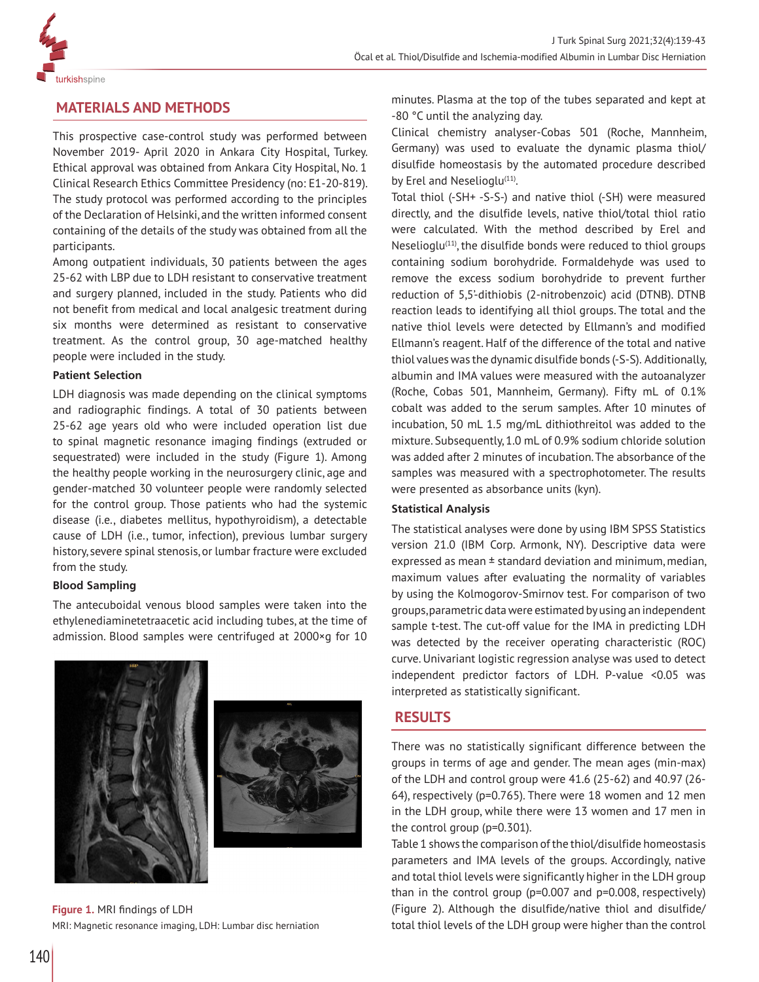

# **MATERIALS AND METHODS**

This prospective case-control study was performed between November 2019- April 2020 in Ankara City Hospital, Turkey. Ethical approval was obtained from Ankara City Hospital, No. 1 Clinical Research Ethics Committee Presidency (no: E1-20-819). The study protocol was performed according to the principles of the Declaration of Helsinki, and the written informed consent containing of the details of the study was obtained from all the participants.

Among outpatient individuals, 30 patients between the ages 25-62 with LBP due to LDH resistant to conservative treatment and surgery planned, included in the study. Patients who did not benefit from medical and local analgesic treatment during six months were determined as resistant to conservative treatment. As the control group, 30 age-matched healthy people were included in the study.

### **Patient Selection**

LDH diagnosis was made depending on the clinical symptoms and radiographic findings. A total of 30 patients between 25-62 age years old who were included operation list due to spinal magnetic resonance imaging findings (extruded or sequestrated) were included in the study (Figure 1). Among the healthy people working in the neurosurgery clinic, age and gender-matched 30 volunteer people were randomly selected for the control group. Those patients who had the systemic disease (i.e., diabetes mellitus, hypothyroidism), a detectable cause of LDH (i.e., tumor, infection), previous lumbar surgery history, severe spinal stenosis, or lumbar fracture were excluded from the study.

### **Blood Sampling**

The antecuboidal venous blood samples were taken into the ethylenediaminetetraacetic acid including tubes, at the time of admission. Blood samples were centrifuged at 2000×g for 10





**Figure 1.** MRI findings of LDH MRI: Magnetic resonance imaging, LDH: Lumbar disc herniation

minutes. Plasma at the top of the tubes separated and kept at -80 °C until the analyzing day.

Clinical chemistry analyser-Cobas 501 (Roche, Mannheim, Germany) was used to evaluate the dynamic plasma thiol/ disulfide homeostasis by the automated procedure described by Erel and Neselioglu<sup>(11)</sup>.

Total thiol (-SH+ -S-S-) and native thiol (-SH) were measured directly, and the disulfide levels, native thiol/total thiol ratio were calculated. With the method described by Erel and Neselioglu<sup>(11)</sup>, the disulfide bonds were reduced to thiol groups containing sodium borohydride. Formaldehyde was used to remove the excess sodium borohydride to prevent further reduction of 5,5'-dithiobis (2-nitrobenzoic) acid (DTNB). DTNB reaction leads to identifying all thiol groups. The total and the native thiol levels were detected by Ellmann's and modified Ellmann's reagent. Half of the difference of the total and native thiol values was the dynamic disulfide bonds (-S-S). Additionally, albumin and IMA values were measured with the autoanalyzer (Roche, Cobas 501, Mannheim, Germany). Fifty mL of 0.1% cobalt was added to the serum samples. After 10 minutes of incubation, 50 mL 1.5 mg/mL dithiothreitol was added to the mixture. Subsequently, 1.0 mL of 0.9% sodium chloride solution was added after 2 minutes of incubation. The absorbance of the samples was measured with a spectrophotometer. The results were presented as absorbance units (kyn).

### **Statistical Analysis**

The statistical analyses were done by using IBM SPSS Statistics version 21.0 (IBM Corp. Armonk, NY). Descriptive data were expressed as mean ± standard deviation and minimum, median, maximum values after evaluating the normality of variables by using the Kolmogorov-Smirnov test. For comparison of two groups, parametric data were estimated by using an independent sample t-test. The cut-off value for the IMA in predicting LDH was detected by the receiver operating characteristic (ROC) curve. Univariant logistic regression analyse was used to detect independent predictor factors of LDH. P-value <0.05 was interpreted as statistically significant.

# **RESULTS**

There was no statistically significant difference between the groups in terms of age and gender. The mean ages (min-max) of the LDH and control group were 41.6 (25-62) and 40.97 (26- 64), respectively (p=0.765). There were 18 women and 12 men in the LDH group, while there were 13 women and 17 men in the control group (p=0.301).

Table 1 shows the comparison of the thiol/disulfide homeostasis parameters and IMA levels of the groups. Accordingly, native and total thiol levels were significantly higher in the LDH group than in the control group (p=0.007 and p=0.008, respectively) (Figure 2). Although the disulfide/native thiol and disulfide/ total thiol levels of the LDH group were higher than the control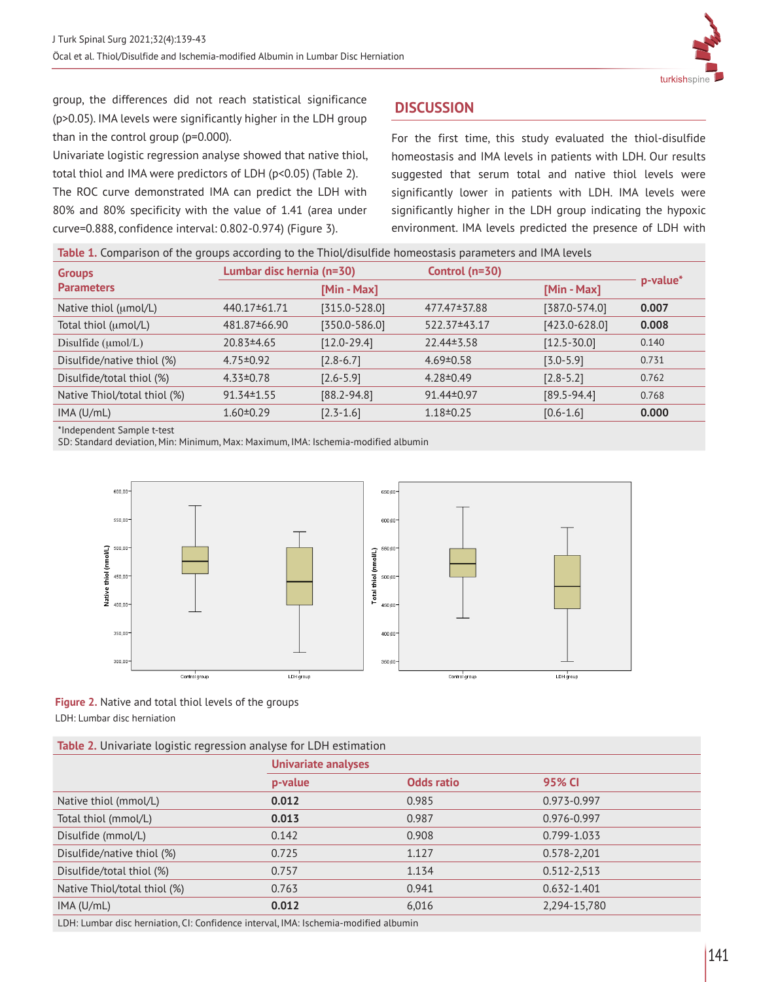

group, the differences did not reach statistical significance (p>0.05). IMA levels were significantly higher in the LDH group than in the control group (p=0.000).

Univariate logistic regression analyse showed that native thiol, total thiol and IMA were predictors of LDH (p<0.05) (Table 2).

The ROC curve demonstrated IMA can predict the LDH with 80% and 80% specificity with the value of 1.41 (area under curve=0.888, confidence interval: 0.802-0.974) (Figure 3).

# **DISCUSSION**

For the first time, this study evaluated the thiol-disulfide homeostasis and IMA levels in patients with LDH. Our results suggested that serum total and native thiol levels were significantly lower in patients with LDH. IMA levels were significantly higher in the LDH group indicating the hypoxic environment. IMA levels predicted the presence of LDH with

| Table 1. Comparison of the groups according to the Thiol/disulfide homeostasis parameters and IMA levels |
|----------------------------------------------------------------------------------------------------------|
|                                                                                                          |

|                                | Lumbar disc hernia (n=30) |                   |                  |                   |          |
|--------------------------------|---------------------------|-------------------|------------------|-------------------|----------|
| <b>Groups</b>                  |                           |                   | Control $(n=30)$ |                   | p-value* |
| <b>Parameters</b>              |                           | [Min - Max]       |                  | [Min - Max]       |          |
| Native thiol (umol/L)          | 440.17±61.71              | $[315.0 - 528.0]$ | 477.47±37.88     | $[387.0 - 574.0]$ | 0.007    |
| Total thiol (umol/L)           | 481.87 ± 66.90            | $[350.0 - 586.0]$ | 522.37±43.17     | $[423.0 - 628.0]$ | 0.008    |
| Disulfide $(\mu \text{mol/L})$ | $20.83 \pm 4.65$          | $[12.0 - 29.4]$   | $22.44 \pm 3.58$ | $[12.5 - 30.0]$   | 0.140    |
| Disulfide/native thiol (%)     | $4.75 \pm 0.92$           | $[2.8 - 6.7]$     | $4.69 \pm 0.58$  | $[3.0 - 5.9]$     | 0.731    |
| Disulfide/total thiol (%)      | $4.33 \pm 0.78$           | $[2.6 - 5.9]$     | $4.28 \pm 0.49$  | $[2.8 - 5.2]$     | 0.762    |
| Native Thiol/total thiol (%)   | $91.34 \pm 1.55$          | $[88.2 - 94.8]$   | 91.44±0.97       | $[89.5 - 94.4]$   | 0.768    |
| IMA (U/mL)                     | $1.60 \pm 0.29$           | $[2.3 - 1.6]$     | $1.18 \pm 0.25$  | $[0.6 - 1.6]$     | 0.000    |
|                                |                           |                   |                  |                   |          |

\*Independent Sample t-test

SD: Standard deviation, Min: Minimum, Max: Maximum, IMA: Ischemia-modified albumin



**Figure 2.** Native and total thiol levels of the groups LDH: Lumbar disc herniation

| Table 2. Univariate logistic regression analyse for LDH estimation |  |  |  |
|--------------------------------------------------------------------|--|--|--|
|                                                                    |  |  |  |

|                              | <b>Univariate analyses</b> |                   |                 |  |
|------------------------------|----------------------------|-------------------|-----------------|--|
|                              | p-value                    | <b>Odds ratio</b> | 95% CI          |  |
| Native thiol (mmol/L)        | 0.012                      | 0.985             | 0.973-0.997     |  |
| Total thiol (mmol/L)         | 0.013                      | 0.987             | 0.976-0.997     |  |
| Disulfide (mmol/L)           | 0.142                      | 0.908             | 0.799-1.033     |  |
| Disulfide/native thiol (%)   | 0.725                      | 1.127             | 0.578-2,201     |  |
| Disulfide/total thiol (%)    | 0.757                      | 1.134             | 0.512-2,513     |  |
| Native Thiol/total thiol (%) | 0.763                      | 0.941             | $0.632 - 1.401$ |  |
| IMA (U/mL)                   | 0.012                      | 6,016             | 2,294-15,780    |  |
|                              |                            |                   |                 |  |

LDH: Lumbar disc herniation, CI: Confidence interval, IMA: Ischemia-modified albumin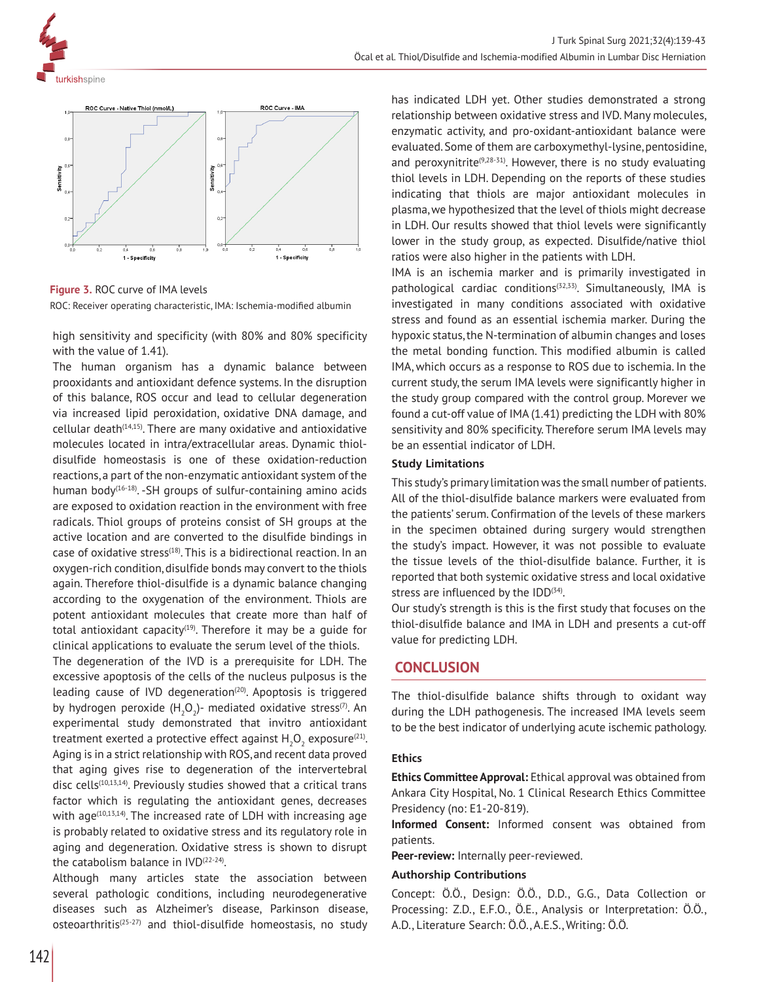



**Figure 3.** ROC curve of IMA levels ROC: Receiver operating characteristic, IMA: Ischemia-modified albumin

high sensitivity and specificity (with 80% and 80% specificity with the value of 1.41).

The human organism has a dynamic balance between prooxidants and antioxidant defence systems. In the disruption of this balance, ROS occur and lead to cellular degeneration via increased lipid peroxidation, oxidative DNA damage, and  $cellular death$ <sup> $(14,15)$ </sup>. There are many oxidative and antioxidative molecules located in intra/extracellular areas. Dynamic thioldisulfide homeostasis is one of these oxidation-reduction reactions, a part of the non-enzymatic antioxidant system of the human body<sup>(16-18)</sup>. -SH groups of sulfur-containing amino acids are exposed to oxidation reaction in the environment with free radicals. Thiol groups of proteins consist of SH groups at the active location and are converted to the disulfide bindings in case of oxidative stress<sup>(18)</sup>. This is a bidirectional reaction. In an oxygen-rich condition, disulfide bonds may convert to the thiols again. Therefore thiol-disulfide is a dynamic balance changing according to the oxygenation of the environment. Thiols are potent antioxidant molecules that create more than half of total antioxidant capacity<sup>(19)</sup>. Therefore it may be a guide for clinical applications to evaluate the serum level of the thiols.

The degeneration of the IVD is a prerequisite for LDH. The excessive apoptosis of the cells of the nucleus pulposus is the leading cause of IVD degeneration<sup>(20)</sup>. Apoptosis is triggered by hydrogen peroxide (H $_{2}$ O $_{2}$ )- mediated oxidative stress $^{\text{\tiny{(7)}}}$ . An experimental study demonstrated that invitro antioxidant treatment exerted a protective effect against  $\mathsf{H}_{\mathfrak{z}}\mathsf{O}_{\mathfrak{z}}$  exposure ${}^{\scriptscriptstyle{\mathrm{(21)}}}.$ Aging is in a strict relationship with ROS, and recent data proved that aging gives rise to degeneration of the intervertebral disc cells $(10,13,14)$ . Previously studies showed that a critical trans factor which is regulating the antioxidant genes, decreases with age<sup>(10,13,14)</sup>. The increased rate of LDH with increasing age is probably related to oxidative stress and its regulatory role in aging and degeneration. Oxidative stress is shown to disrupt the catabolism balance in IVD<sup>(22-24)</sup>.

Although many articles state the association between several pathologic conditions, including neurodegenerative diseases such as Alzheimer's disease, Parkinson disease,  $osteoarthritis<sup>(25-27)</sup>$  and thiol-disulfide homeostasis, no study has indicated LDH yet. Other studies demonstrated a strong relationship between oxidative stress and IVD. Many molecules, enzymatic activity, and pro-oxidant-antioxidant balance were evaluated. Some of them are carboxymethyl-lysine, pentosidine, and peroxynitrite<sup>(9,28-31)</sup>. However, there is no study evaluating thiol levels in LDH. Depending on the reports of these studies indicating that thiols are major antioxidant molecules in plasma, we hypothesized that the level of thiols might decrease in LDH. Our results showed that thiol levels were significantly lower in the study group, as expected. Disulfide/native thiol ratios were also higher in the patients with LDH.

IMA is an ischemia marker and is primarily investigated in pathological cardiac conditions<sup>(32,33)</sup>. Simultaneously, IMA is investigated in many conditions associated with oxidative stress and found as an essential ischemia marker. During the hypoxic status, the N-termination of albumin changes and loses the metal bonding function. This modified albumin is called IMA, which occurs as a response to ROS due to ischemia. In the current study, the serum IMA levels were significantly higher in the study group compared with the control group. Morever we found a cut-off value of IMA (1.41) predicting the LDH with 80% sensitivity and 80% specificity. Therefore serum IMA levels may be an essential indicator of LDH.

### **Study Limitations**

This study's primary limitation was the small number of patients. All of the thiol-disulfide balance markers were evaluated from the patients' serum. Confirmation of the levels of these markers in the specimen obtained during surgery would strengthen the study's impact. However, it was not possible to evaluate the tissue levels of the thiol-disulfide balance. Further, it is reported that both systemic oxidative stress and local oxidative stress are influenced by the  $IDD^{(34)}$ .

Our study's strength is this is the first study that focuses on the thiol-disulfide balance and IMA in LDH and presents a cut-off value for predicting LDH.

### **CONCLUSION**

The thiol-disulfide balance shifts through to oxidant way during the LDH pathogenesis. The increased IMA levels seem to be the best indicator of underlying acute ischemic pathology.

#### **Ethics**

**Ethics Committee Approval:** Ethical approval was obtained from Ankara City Hospital, No. 1 Clinical Research Ethics Committee Presidency (no: E1-20-819).

**Informed Consent:** Informed consent was obtained from patients.

**Peer-review:** Internally peer-reviewed.

#### **Authorship Contributions**

Concept: Ö.Ö., Design: Ö.Ö., D.D., G.G., Data Collection or Processing: Z.D., E.F.O., Ö.E., Analysis or Interpretation: Ö.Ö., A.D., Literature Search: Ö.Ö., A.E.S., Writing: Ö.Ö.